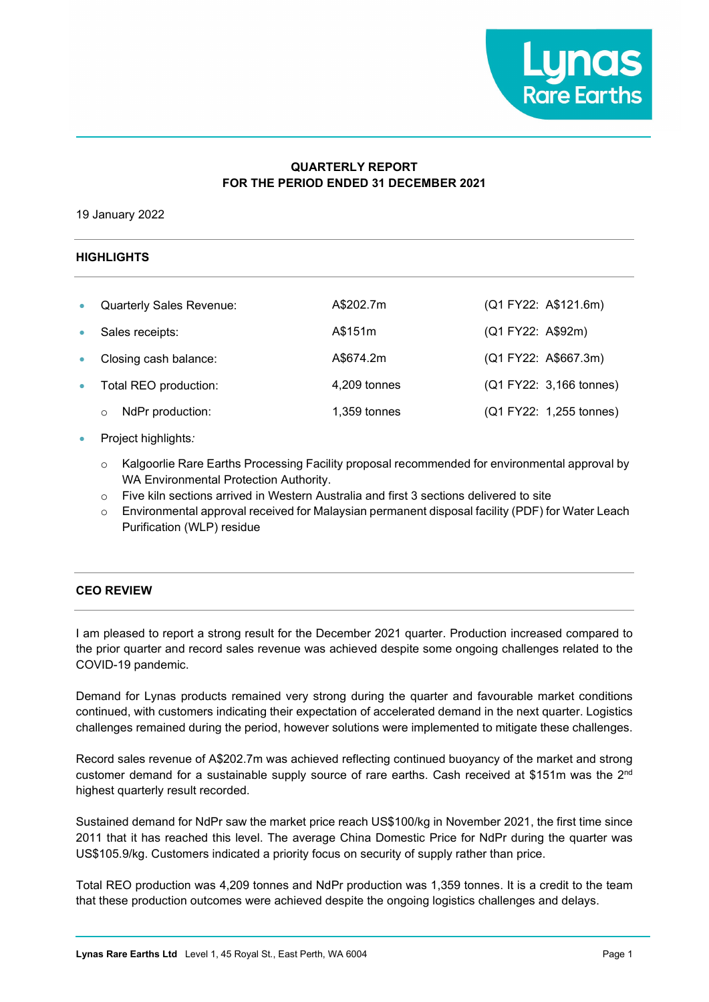

## **QUARTERLY REPORT FOR THE PERIOD ENDED 31 DECEMBER 2021**

19 January 2022

## **HIGHLIGHTS**

| $\bullet$ | <b>Quarterly Sales Revenue:</b> | A\$202.7m      | (Q1 FY22: A\$121.6m)    |
|-----------|---------------------------------|----------------|-------------------------|
|           | Sales receipts:                 | A\$151m        | (Q1 FY22: A\$92m)       |
|           | Closing cash balance:           | A\$674.2m      | (Q1 FY22: A\$667.3m)    |
| $\bullet$ | Total REO production:           | 4,209 tonnes   | (Q1 FY22: 3,166 tonnes) |
|           | NdPr production:<br>O           | $1,359$ tonnes | (Q1 FY22: 1,255 tonnes) |

#### • Project highlights*:*

- $\circ$  Kalgoorlie Rare Earths Processing Facility proposal recommended for environmental approval by WA Environmental Protection Authority.
- o Five kiln sections arrived in Western Australia and first 3 sections delivered to site
- o Environmental approval received for Malaysian permanent disposal facility (PDF) for Water Leach Purification (WLP) residue

### **CEO REVIEW**

I am pleased to report a strong result for the December 2021 quarter. Production increased compared to the prior quarter and record sales revenue was achieved despite some ongoing challenges related to the COVID-19 pandemic.

Demand for Lynas products remained very strong during the quarter and favourable market conditions continued, with customers indicating their expectation of accelerated demand in the next quarter. Logistics challenges remained during the period, however solutions were implemented to mitigate these challenges.

Record sales revenue of A\$202.7m was achieved reflecting continued buoyancy of the market and strong customer demand for a sustainable supply source of rare earths. Cash received at \$151m was the 2nd highest quarterly result recorded.

Sustained demand for NdPr saw the market price reach US\$100/kg in November 2021, the first time since 2011 that it has reached this level. The average China Domestic Price for NdPr during the quarter was US\$105.9/kg. Customers indicated a priority focus on security of supply rather than price.

Total REO production was 4,209 tonnes and NdPr production was 1,359 tonnes. It is a credit to the team that these production outcomes were achieved despite the ongoing logistics challenges and delays.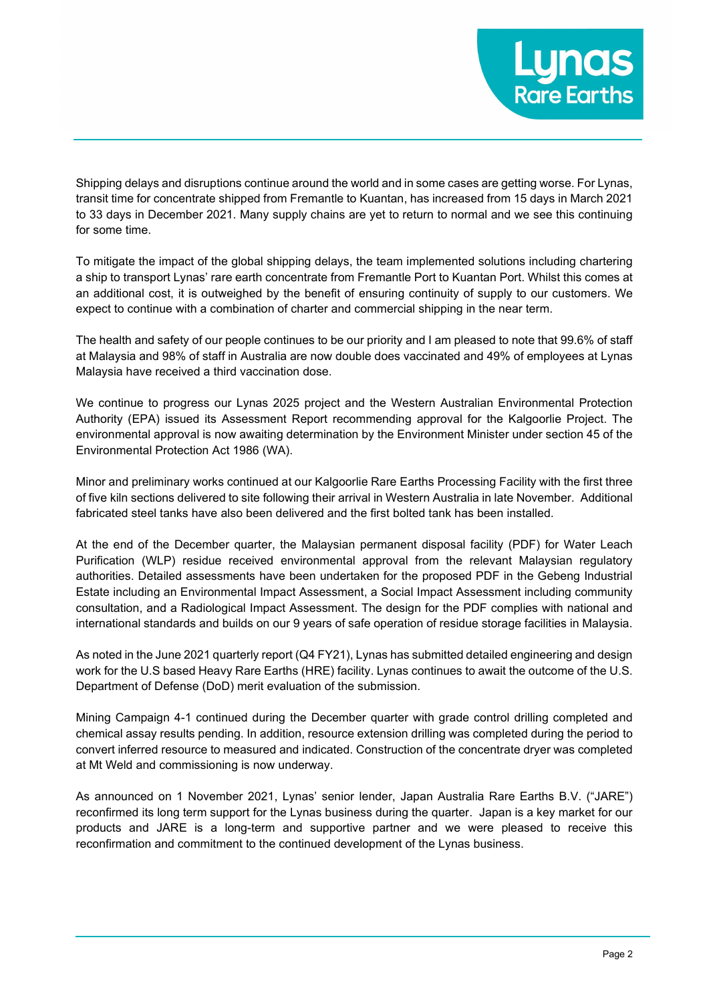

Shipping delays and disruptions continue around the world and in some cases are getting worse. For Lynas, transit time for concentrate shipped from Fremantle to Kuantan, has increased from 15 days in March 2021 to 33 days in December 2021. Many supply chains are yet to return to normal and we see this continuing for some time.

To mitigate the impact of the global shipping delays, the team implemented solutions including chartering a ship to transport Lynas' rare earth concentrate from Fremantle Port to Kuantan Port. Whilst this comes at an additional cost, it is outweighed by the benefit of ensuring continuity of supply to our customers. We expect to continue with a combination of charter and commercial shipping in the near term.

The health and safety of our people continues to be our priority and I am pleased to note that 99.6% of staff at Malaysia and 98% of staff in Australia are now double does vaccinated and 49% of employees at Lynas Malaysia have received a third vaccination dose.

We continue to progress our Lynas 2025 project and the Western Australian Environmental Protection Authority (EPA) issued its Assessment Report recommending approval for the Kalgoorlie Project. The environmental approval is now awaiting determination by the Environment Minister under section 45 of the Environmental Protection Act 1986 (WA).

Minor and preliminary works continued at our Kalgoorlie Rare Earths Processing Facility with the first three of five kiln sections delivered to site following their arrival in Western Australia in late November. Additional fabricated steel tanks have also been delivered and the first bolted tank has been installed.

At the end of the December quarter, the Malaysian permanent disposal facility (PDF) for Water Leach Purification (WLP) residue received environmental approval from the relevant Malaysian regulatory authorities. Detailed assessments have been undertaken for the proposed PDF in the Gebeng Industrial Estate including an Environmental Impact Assessment, a Social Impact Assessment including community consultation, and a Radiological Impact Assessment. The design for the PDF complies with national and international standards and builds on our 9 years of safe operation of residue storage facilities in Malaysia.

As noted in the June 2021 quarterly report (Q4 FY21), Lynas has submitted detailed engineering and design work for the U.S based Heavy Rare Earths (HRE) facility. Lynas continues to await the outcome of the U.S. Department of Defense (DoD) merit evaluation of the submission.

Mining Campaign 4-1 continued during the December quarter with grade control drilling completed and chemical assay results pending. In addition, resource extension drilling was completed during the period to convert inferred resource to measured and indicated. Construction of the concentrate dryer was completed at Mt Weld and commissioning is now underway.

As announced on 1 November 2021, Lynas' senior lender, Japan Australia Rare Earths B.V. ("JARE") reconfirmed its long term support for the Lynas business during the quarter. Japan is a key market for our products and JARE is a long-term and supportive partner and we were pleased to receive this reconfirmation and commitment to the continued development of the Lynas business.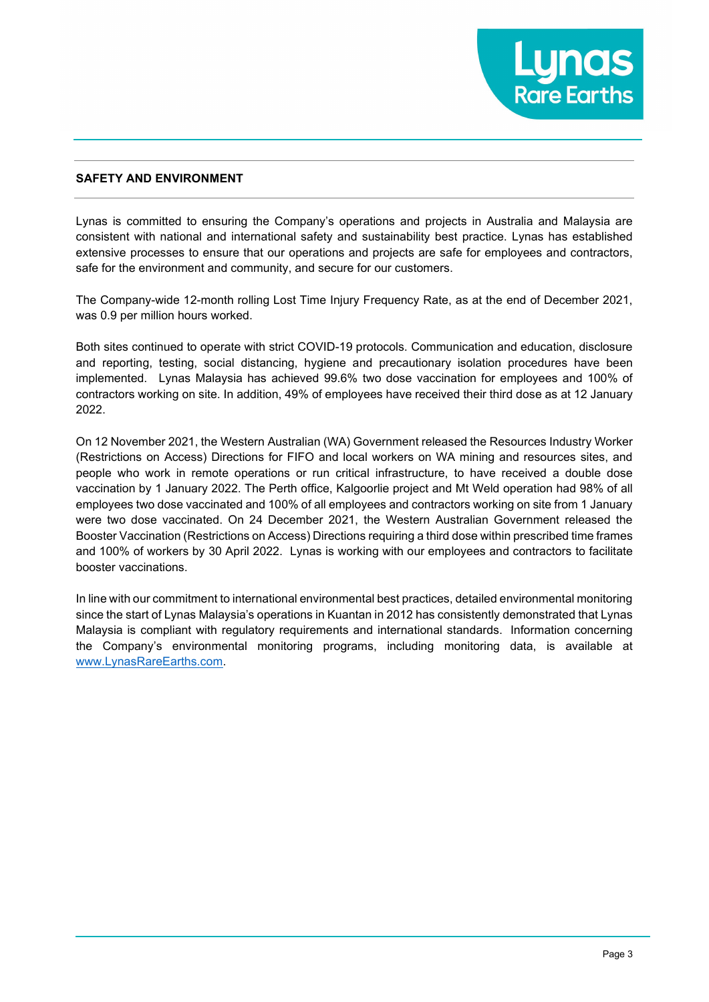

#### **SAFETY AND ENVIRONMENT**

Lynas is committed to ensuring the Company's operations and projects in Australia and Malaysia are consistent with national and international safety and sustainability best practice. Lynas has established extensive processes to ensure that our operations and projects are safe for employees and contractors, safe for the environment and community, and secure for our customers.

The Company-wide 12-month rolling Lost Time Injury Frequency Rate, as at the end of December 2021, was 0.9 per million hours worked.

Both sites continued to operate with strict COVID-19 protocols. Communication and education, disclosure and reporting, testing, social distancing, hygiene and precautionary isolation procedures have been implemented. Lynas Malaysia has achieved 99.6% two dose vaccination for employees and 100% of contractors working on site. In addition, 49% of employees have received their third dose as at 12 January 2022.

On 12 November 2021, the Western Australian (WA) Government released the Resources Industry Worker (Restrictions on Access) Directions for FIFO and local workers on WA mining and resources sites, and people who work in remote operations or run critical infrastructure, to have received a double dose vaccination by 1 January 2022. The Perth office, Kalgoorlie project and Mt Weld operation had 98% of all employees two dose vaccinated and 100% of all employees and contractors working on site from 1 January were two dose vaccinated. On 24 December 2021, the Western Australian Government released the Booster Vaccination (Restrictions on Access) Directions requiring a third dose within prescribed time frames and 100% of workers by 30 April 2022. Lynas is working with our employees and contractors to facilitate booster vaccinations.

In line with our commitment to international environmental best practices, detailed environmental monitoring since the start of Lynas Malaysia's operations in Kuantan in 2012 has consistently demonstrated that Lynas Malaysia is compliant with regulatory requirements and international standards. Information concerning the Company's environmental monitoring programs, including monitoring data, is available at [www.LynasRareEarths.com.](http://www.lynasrareearths.com/)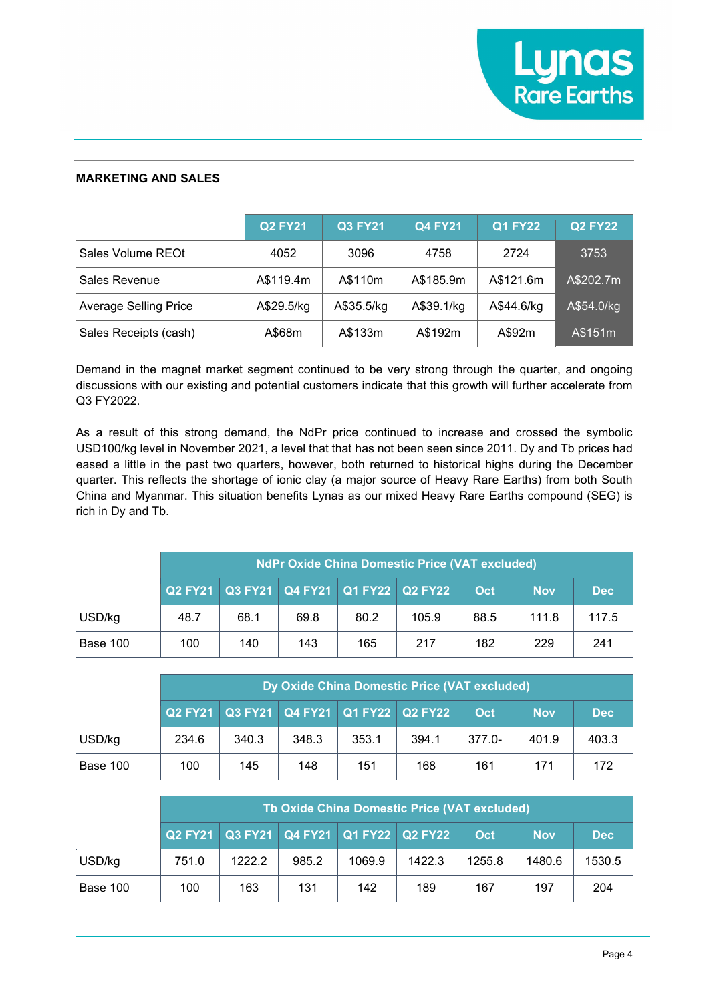# **MARKETING AND SALES**

|                              | <b>Q2 FY21</b> | <b>Q3 FY21</b> | <b>Q4 FY21</b> | <b>Q1 FY22</b> | <b>Q2 FY22</b> |
|------------------------------|----------------|----------------|----------------|----------------|----------------|
| Sales Volume REOt            | 4052           | 3096           | 4758           | 2724           | 3753           |
| Sales Revenue                | A\$119.4m      | A\$110m        | A\$185.9m      | A\$121.6m      | A\$202.7m      |
| <b>Average Selling Price</b> | A\$29.5/kg     | A\$35.5/kg     | A\$39.1/kg     | A\$44.6/kg     | A\$54.0/kg     |
| Sales Receipts (cash)        | A\$68m         | A\$133m        | A\$192m        | A\$92m         | A\$151m        |

Demand in the magnet market segment continued to be very strong through the quarter, and ongoing discussions with our existing and potential customers indicate that this growth will further accelerate from Q3 FY2022.

As a result of this strong demand, the NdPr price continued to increase and crossed the symbolic USD100/kg level in November 2021, a level that that has not been seen since 2011. Dy and Tb prices had eased a little in the past two quarters, however, both returned to historical highs during the December quarter. This reflects the shortage of ionic clay (a major source of Heavy Rare Earths) from both South China and Myanmar. This situation benefits Lynas as our mixed Heavy Rare Earths compound (SEG) is rich in Dy and Tb.

|          | <b>NdPr Oxide China Domestic Price (VAT excluded)</b> |      |      |                                         |       |      |            |            |  |
|----------|-------------------------------------------------------|------|------|-----------------------------------------|-------|------|------------|------------|--|
|          |                                                       |      |      | Q2 FY21 Q3 FY21 Q4 FY21 Q1 FY22 Q2 FY22 |       | Oct. | <b>Nov</b> | <b>Dec</b> |  |
| USD/kg   | 48.7                                                  | 68.1 | 69.8 | 80.2                                    | 105.9 | 88.5 | 111.8      | 117.5      |  |
| Base 100 | 100                                                   | 140  | 143  | 165                                     | 217   | 182  | 229        | 241        |  |

|          | Dy Oxide China Domestic Price (VAT excluded)                         |       |       |       |       |           |       |            |  |
|----------|----------------------------------------------------------------------|-------|-------|-------|-------|-----------|-------|------------|--|
|          | Q2 FY21   Q3 FY21   Q4 FY21   Q1 FY22   Q2 FY22<br>Oct<br><b>Nov</b> |       |       |       |       |           |       | <b>Dec</b> |  |
| USD/kg   | 234.6                                                                | 340.3 | 348.3 | 353.1 | 394.1 | $377.0 -$ | 401.9 | 403.3      |  |
| Base 100 | 100                                                                  | 145   | 148   | 151   | 168   | 161       | 171   | 172        |  |

|                                                              | Th Oxide China Domestic Price (VAT excluded) |        |       |        |        |            |        |        |  |
|--------------------------------------------------------------|----------------------------------------------|--------|-------|--------|--------|------------|--------|--------|--|
| Q2 FY21 Q3 FY21 Q4 FY21 Q1 FY22 Q2 FY22<br>Oct<br><b>Nov</b> |                                              |        |       |        |        | <b>Dec</b> |        |        |  |
| USD/kg                                                       | 751.0                                        | 1222.2 | 985.2 | 1069.9 | 1422.3 | 1255.8     | 1480.6 | 1530.5 |  |
| Base 100                                                     | 100                                          | 163    | 131   | 142    | 189    | 167        | 197    | 204    |  |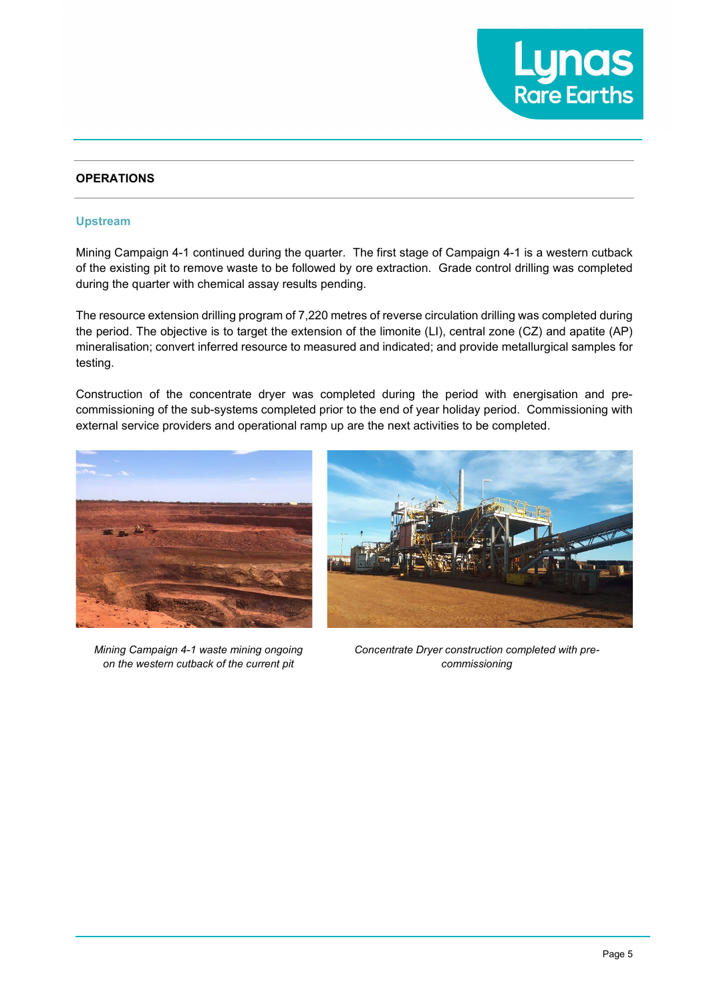

### **OPERATIONS**

#### **Upstream**

Mining Campaign 4-1 continued during the quarter. The first stage of Campaign 4-1 is a western cutback of the existing pit to remove waste to be followed by ore extraction. Grade control drilling was completed during the quarter with chemical assay results pending.

The resource extension drilling program of 7,220 metres of reverse circulation drilling was completed during the period. The objective is to target the extension of the limonite (LI), central zone (CZ) and apatite (AP) mineralisation; convert inferred resource to measured and indicated; and provide metallurgical samples for testing.

Construction of the concentrate dryer was completed during the period with energisation and precommissioning of the sub-systems completed prior to the end of year holiday period. Commissioning with external service providers and operational ramp up are the next activities to be completed.



*Mining Campaign 4-1 waste mining ongoing on the western cutback of the current pit*



*Concentrate Dryer construction completed with precommissioning*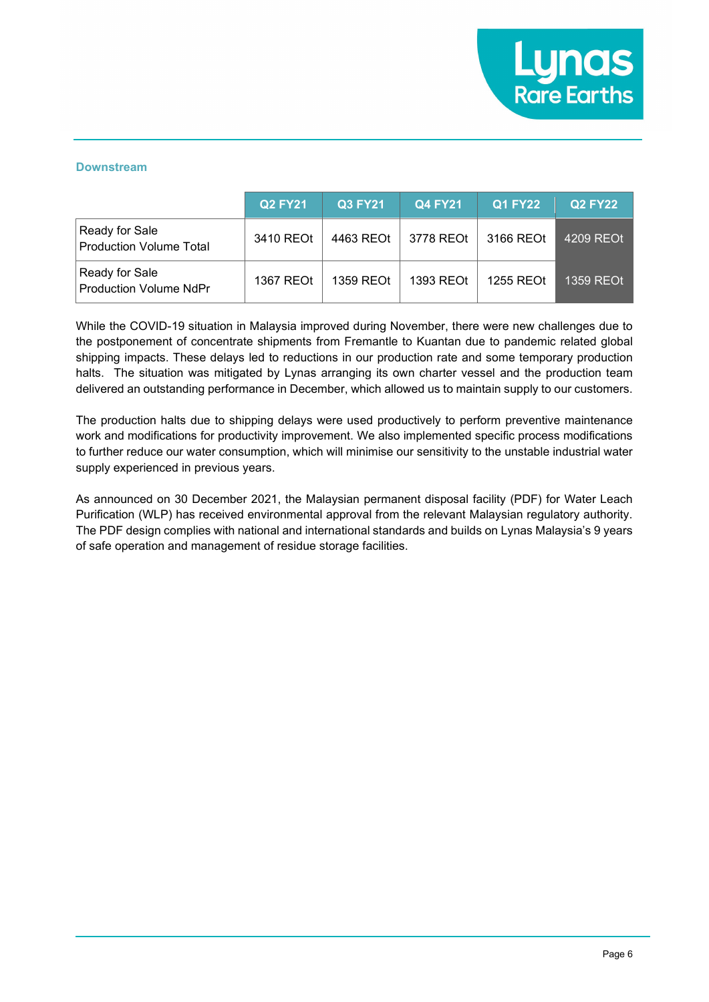#### **Downstream**

|                                                  | <b>Q2 FY21</b> | <b>Q3 FY21</b> | <b>Q4 FY21</b> | <b>Q1 FY22</b> | <b>Q2 FY22</b> |
|--------------------------------------------------|----------------|----------------|----------------|----------------|----------------|
| Ready for Sale<br><b>Production Volume Total</b> | 3410 REOt      | 4463 REOt      | 3778 REOt      | 3166 REOt      | 4209 REOt      |
| Ready for Sale<br><b>Production Volume NdPr</b>  | 1367 REOt      | 1359 REOt      | 1393 REOt      | 1255 REOt      | 1359 REOt      |

While the COVID-19 situation in Malaysia improved during November, there were new challenges due to the postponement of concentrate shipments from Fremantle to Kuantan due to pandemic related global shipping impacts. These delays led to reductions in our production rate and some temporary production halts. The situation was mitigated by Lynas arranging its own charter vessel and the production team delivered an outstanding performance in December, which allowed us to maintain supply to our customers.

The production halts due to shipping delays were used productively to perform preventive maintenance work and modifications for productivity improvement. We also implemented specific process modifications to further reduce our water consumption, which will minimise our sensitivity to the unstable industrial water supply experienced in previous years.

As announced on 30 December 2021, the Malaysian permanent disposal facility (PDF) for Water Leach Purification (WLP) has received environmental approval from the relevant Malaysian regulatory authority. The PDF design complies with national and international standards and builds on Lynas Malaysia's 9 years of safe operation and management of residue storage facilities.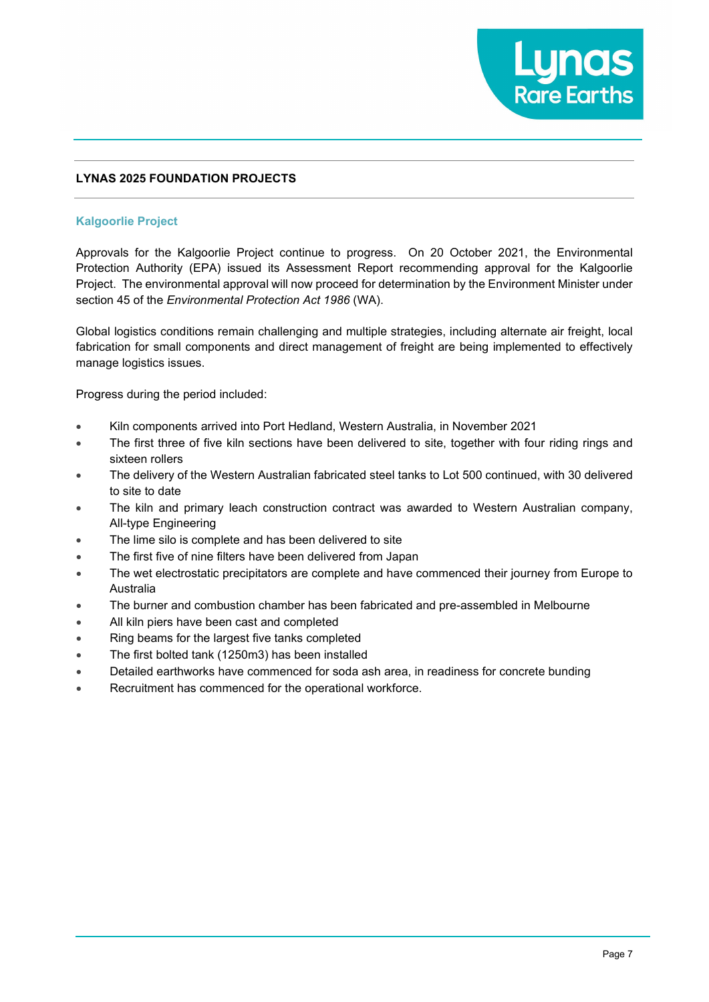

## **LYNAS 2025 FOUNDATION PROJECTS**

### **Kalgoorlie Project**

Approvals for the Kalgoorlie Project continue to progress. On 20 October 2021, the Environmental Protection Authority (EPA) issued its Assessment Report recommending approval for the Kalgoorlie Project. The environmental approval will now proceed for determination by the Environment Minister under section 45 of the *Environmental Protection Act 1986* (WA).

Global logistics conditions remain challenging and multiple strategies, including alternate air freight, local fabrication for small components and direct management of freight are being implemented to effectively manage logistics issues.

Progress during the period included:

- Kiln components arrived into Port Hedland, Western Australia, in November 2021
- The first three of five kiln sections have been delivered to site, together with four riding rings and sixteen rollers
- The delivery of the Western Australian fabricated steel tanks to Lot 500 continued, with 30 delivered to site to date
- The kiln and primary leach construction contract was awarded to Western Australian company, All-type Engineering
- The lime silo is complete and has been delivered to site
- The first five of nine filters have been delivered from Japan
- The wet electrostatic precipitators are complete and have commenced their journey from Europe to Australia
- The burner and combustion chamber has been fabricated and pre-assembled in Melbourne
- All kiln piers have been cast and completed
- Ring beams for the largest five tanks completed
- The first bolted tank (1250m3) has been installed
- Detailed earthworks have commenced for soda ash area, in readiness for concrete bunding
- Recruitment has commenced for the operational workforce.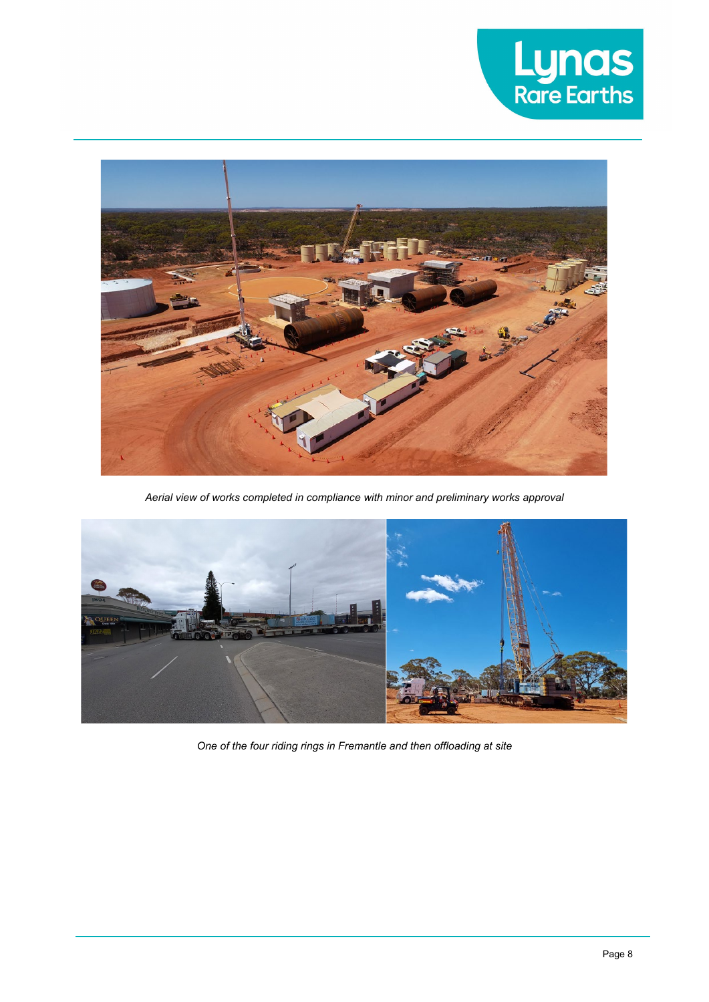



*Aerial view of works completed in compliance with minor and preliminary works approval*



*One of the four riding rings in Fremantle and then offloading at site*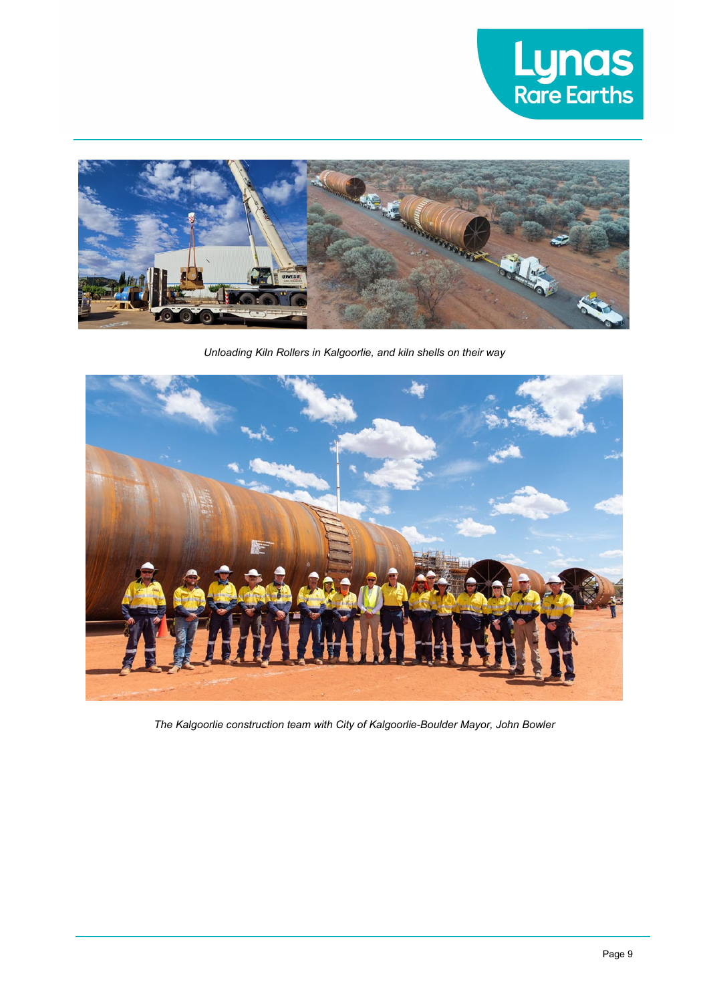



*Unloading Kiln Rollers in Kalgoorlie, and kiln shells on their way*



*The Kalgoorlie construction team with City of Kalgoorlie-Boulder Mayor, John Bowler*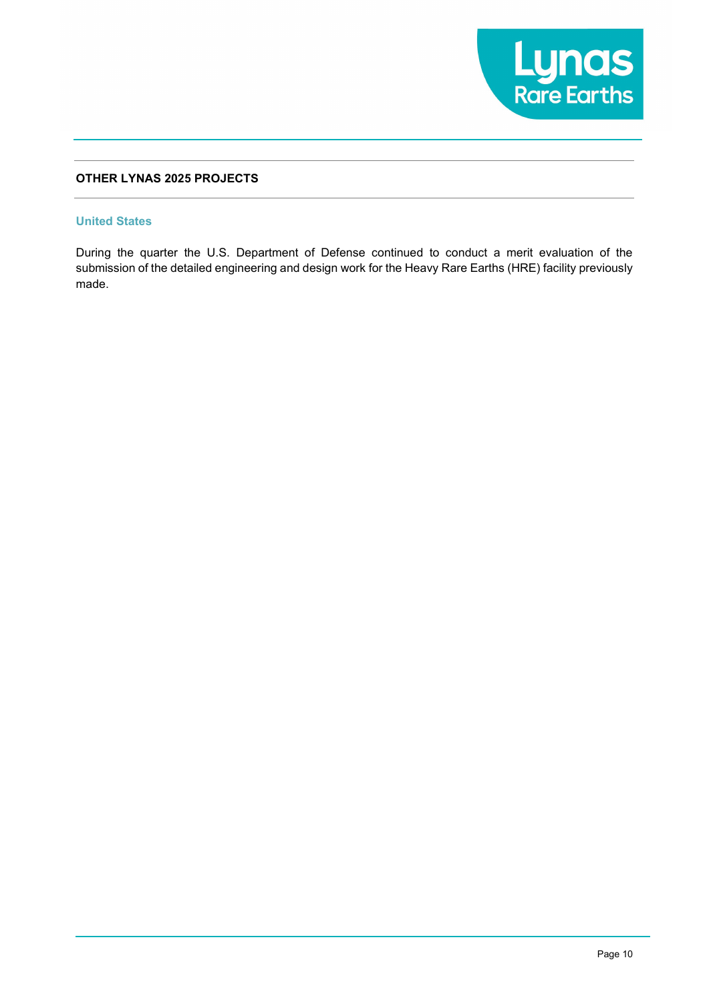

# **OTHER LYNAS 2025 PROJECTS**

#### **United States**

During the quarter the U.S. Department of Defense continued to conduct a merit evaluation of the submission of the detailed engineering and design work for the Heavy Rare Earths (HRE) facility previously made.